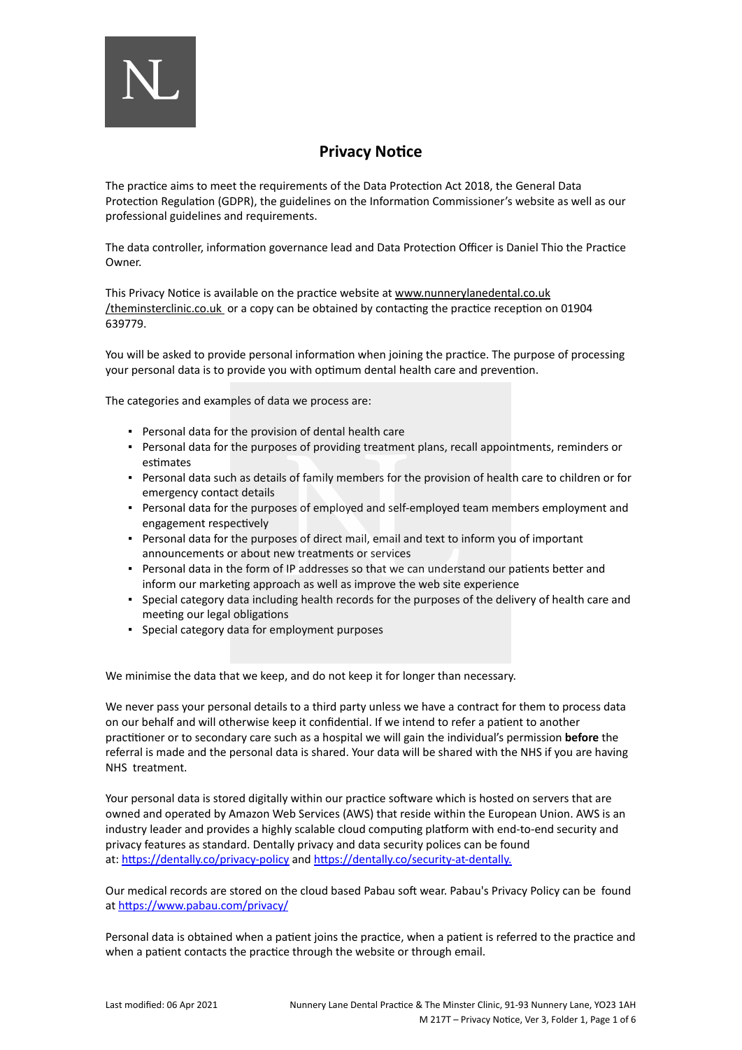

# **Privacy Notice**

The practice aims to meet the requirements of the Data Protection Act 2018, the General Data Protection Regulation (GDPR), the guidelines on the Information Commissioner's website as well as our professional guidelines and requirements.

The data controller, information governance lead and Data Protection Officer is Daniel Thio the Practice Owner.

This Privacy Notice is available on the practice website at [www.nunnerylanedental.co.uk](http://www.nunnerylanedental.co.uk/) [/theminsterclinic.co.uk](http://www.nunnerylanedental.co.uk/) or a copy can be obtained by contacting the practice reception on 01904 639779.

You will be asked to provide personal information when joining the practice. The purpose of processing your personal data is to provide you with optimum dental health care and prevention.

The categories and examples of data we process are:

- Personal data for the provision of dental health care
- Personal data for the purposes of providing treatment plans, recall appointments, reminders or estimates
- Personal data such as details of family members for the provision of health care to children or for emergency contact details
- Personal data for the purposes of employed and self-employed team members employment and engagement respectively
- Personal data for the purposes of direct mail, email and text to inform you of important announcements or about new treatments or services
- Personal data in the form of IP addresses so that we can understand our patients better and inform our marketing approach as well as improve the web site experience
- Special category data including health records for the purposes of the delivery of health care and meeting our legal obligations
- Special category data for employment purposes

We minimise the data that we keep, and do not keep it for longer than necessary.

We never pass your personal details to a third party unless we have a contract for them to process data on our behalf and will otherwise keep it confidential. If we intend to refer a patient to another practitioner or to secondary care such as a hospital we will gain the individual's permission **before** the referral is made and the personal data is shared. Your data will be shared with the NHS if you are having NHS treatment.

Your personal data is stored digitally within our practice software which is hosted on servers that are owned and operated by Amazon Web Services (AWS) that reside within the European Union. AWS is an industry leader and provides a highly scalable cloud computing platform with end-to-end security and privacy features as standard. Dentally privacy and data security polices can be found at: <https://dentally.co/privacy-policy> and [https://dentally.co/security-at-dentally.](https://dentally.co/security-at-dentally)

Our medical records are stored on the cloud based Pabau soft wear. Pabau's Privacy Policy can be found at <https://www.pabau.com/privacy/>

Personal data is obtained when a patient joins the practice, when a patient is referred to the practice and when a patient contacts the practice through the website or through email.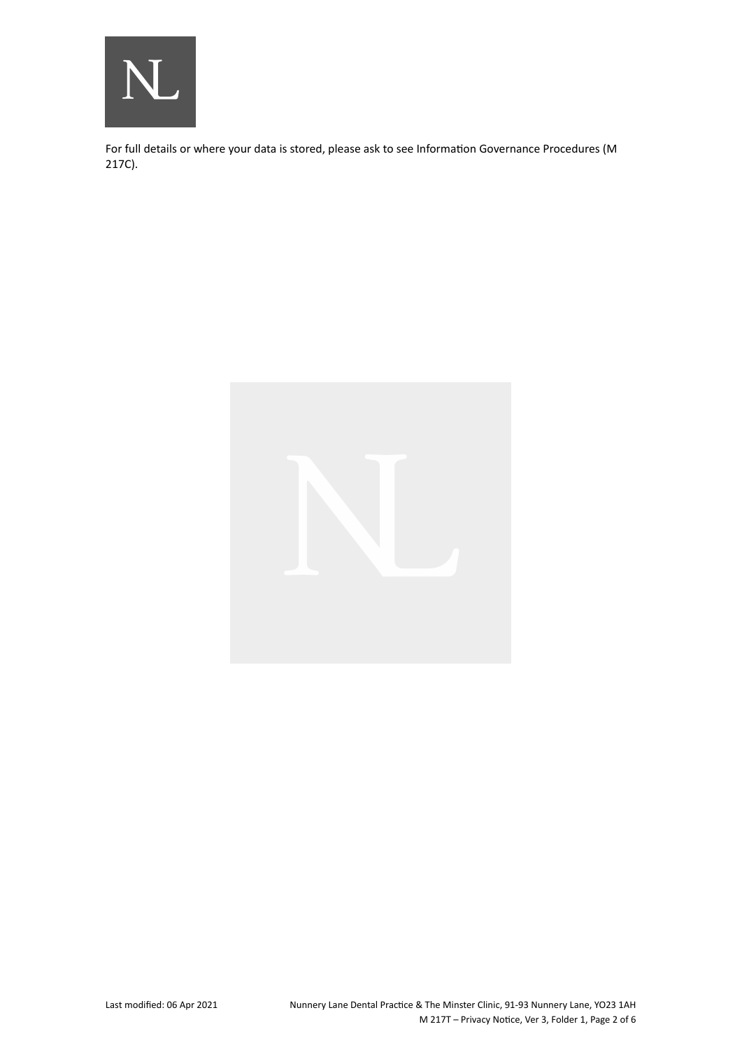

For full details or where your data is stored, please ask to see Information Governance Procedures (M 217C).

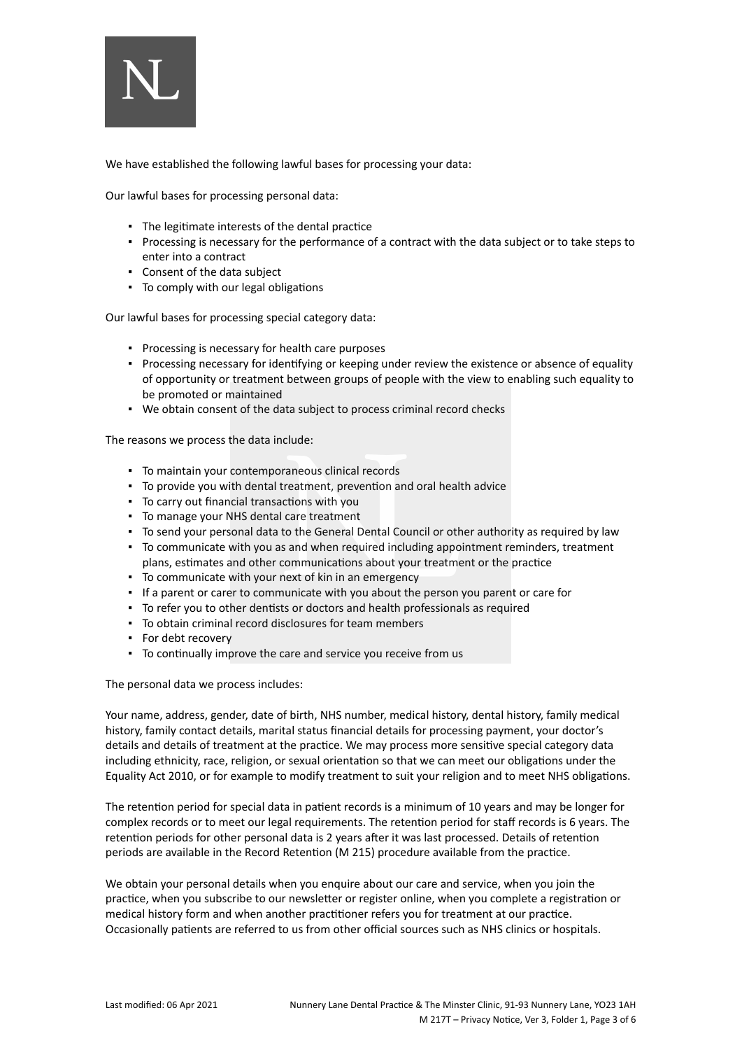

We have established the following lawful bases for processing your data:

Our lawful bases for processing personal data:

- The legitimate interests of the dental practice
- Processing is necessary for the performance of a contract with the data subject or to take steps to enter into a contract
- Consent of the data subject
- To comply with our legal obligations

Our lawful bases for processing special category data:

- Processing is necessary for health care purposes
- Processing necessary for identifying or keeping under review the existence or absence of equality of opportunity or treatment between groups of people with the view to enabling such equality to be promoted or maintained
- We obtain consent of the data subject to process criminal record checks

The reasons we process the data include:

- To maintain your contemporaneous clinical records
- To provide you with dental treatment, prevention and oral health advice
- To carry out financial transactions with you
- To manage your NHS dental care treatment
- To send your personal data to the General Dental Council or other authority as required by law
- To communicate with you as and when required including appointment reminders, treatment plans, estimates and other communications about your treatment or the practice
- To communicate with your next of kin in an emergency
- If a parent or carer to communicate with you about the person you parent or care for
- To refer you to other dentists or doctors and health professionals as required
- To obtain criminal record disclosures for team members
- For debt recovery
- To continually improve the care and service you receive from us

The personal data we process includes:

Your name, address, gender, date of birth, NHS number, medical history, dental history, family medical history, family contact details, marital status financial details for processing payment, your doctor's details and details of treatment at the practice. We may process more sensitive special category data including ethnicity, race, religion, or sexual orientation so that we can meet our obligations under the Equality Act 2010, or for example to modify treatment to suit your religion and to meet NHS obligations.

The retention period for special data in patient records is a minimum of 10 years and may be longer for complex records or to meet our legal requirements. The retention period for staff records is 6 years. The retention periods for other personal data is 2 years after it was last processed. Details of retention periods are available in the Record Retention (M 215) procedure available from the practice.

We obtain your personal details when you enquire about our care and service, when you join the practice, when you subscribe to our newsletter or register online, when you complete a registration or medical history form and when another practitioner refers you for treatment at our practice. Occasionally patients are referred to us from other official sources such as NHS clinics or hospitals.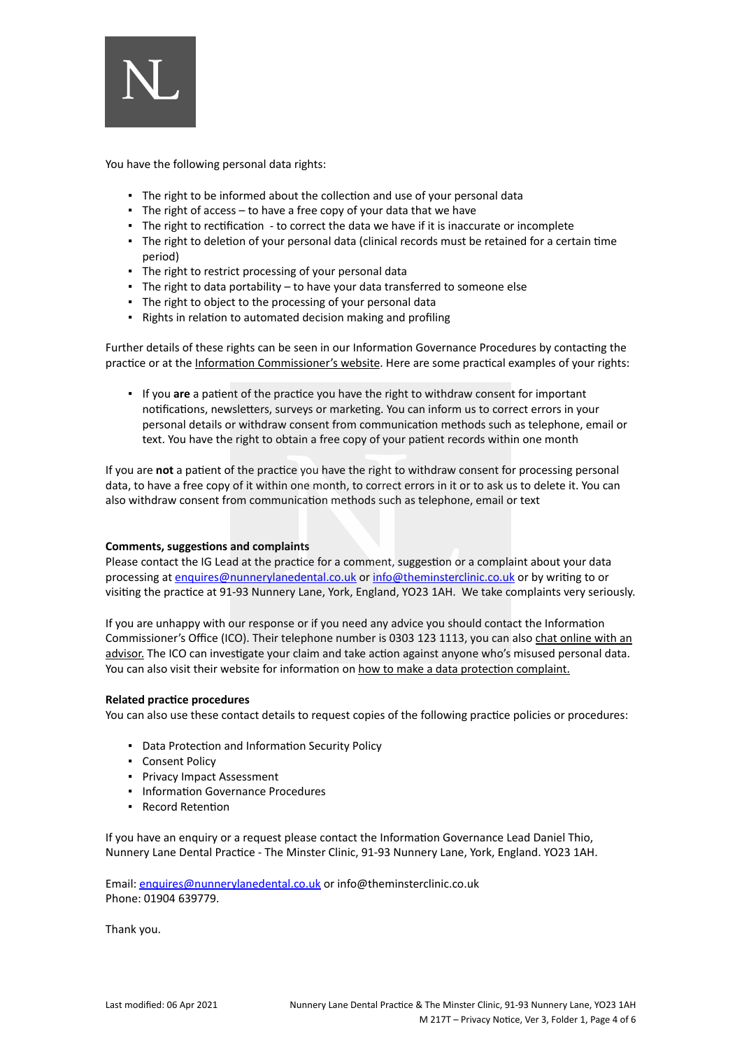

You have the following personal data rights:

- The right to be informed about the collection and use of your personal data
- The right of access to have a free copy of your data that we have
- The right to rectification to correct the data we have if it is inaccurate or incomplete
- The right to deletion of your personal data (clinical records must be retained for a certain time period)
- The right to restrict processing of your personal data
- $\blacksquare$  The right to data portability to have your data transferred to someone else
- The right to object to the processing of your personal data
- Rights in relation to automated decision making and profiling

Further details of these rights can be seen in our Information Governance Procedures by contacting the practice or at the [Information Commissioner's website](https://ico.org.uk/for-organisations/guide-to-the-general-data-protection-regulation-gdpr/individual-rights/). Here are some practical examples of your rights:

▪ If you **are** a patient of the practice you have the right to withdraw consent for important notifications, newsletters, surveys or marketing. You can inform us to correct errors in your personal details or withdraw consent from communication methods such as telephone, email or text. You have the right to obtain a free copy of your patient records within one month

If you are **not** a patient of the practice you have the right to withdraw consent for processing personal data, to have a free copy of it within one month, to correct errors in it or to ask us to delete it. You can also withdraw consent from communication methods such as telephone, email or text

### **Comments, suggestions and complaints**

Please contact the IG Lead at the practice for a comment, suggestion or a complaint about your data processing at [enquires@nunnerylanedental.co.uk](mailto:danielthio@nunnerylanedental.co.uk) or [info@theminsterclinic.co.uk](mailto:info@theminsterclinic.co.uk) or by writing to or visiting the practice at 91-93 Nunnery Lane, York, England, YO23 1AH. We take complaints very seriously.

If you are unhappy with our response or if you need any advice you should contact the Information Commissioner's Office (ICO). Their telephone number is 0303 123 1113, you can also [chat online with an](https://ico.org.uk/global/contact-us/live-chat/) [advisor.](https://ico.org.uk/global/contact-us/live-chat/) The ICO can investigate your claim and take action against anyone who's misused personal data. You can also visit their website for information on [how to make a data protection complaint.](http://www.ico.org.uk/complaints)

### **Related practice procedures**

You can also use these contact details to request copies of the following practice policies or procedures:

- Data Protection and Information Security Policy
- Consent Policy
- Privacy Impact Assessment
- **Information Governance Procedures**
- Record Retention

If you have an enquiry or a request please contact the Information Governance Lead Daniel Thio, Nunnery Lane Dental Practice - The Minster Clinic, 91-93 Nunnery Lane, York, England. YO23 1AH.

Email: [enquires@nunnerylanedental.co.uk](mailto:enquires@nunnerylanedental.co.uk) or info@theminsterclinic.co.uk Phone: 01904 639779.

Thank you.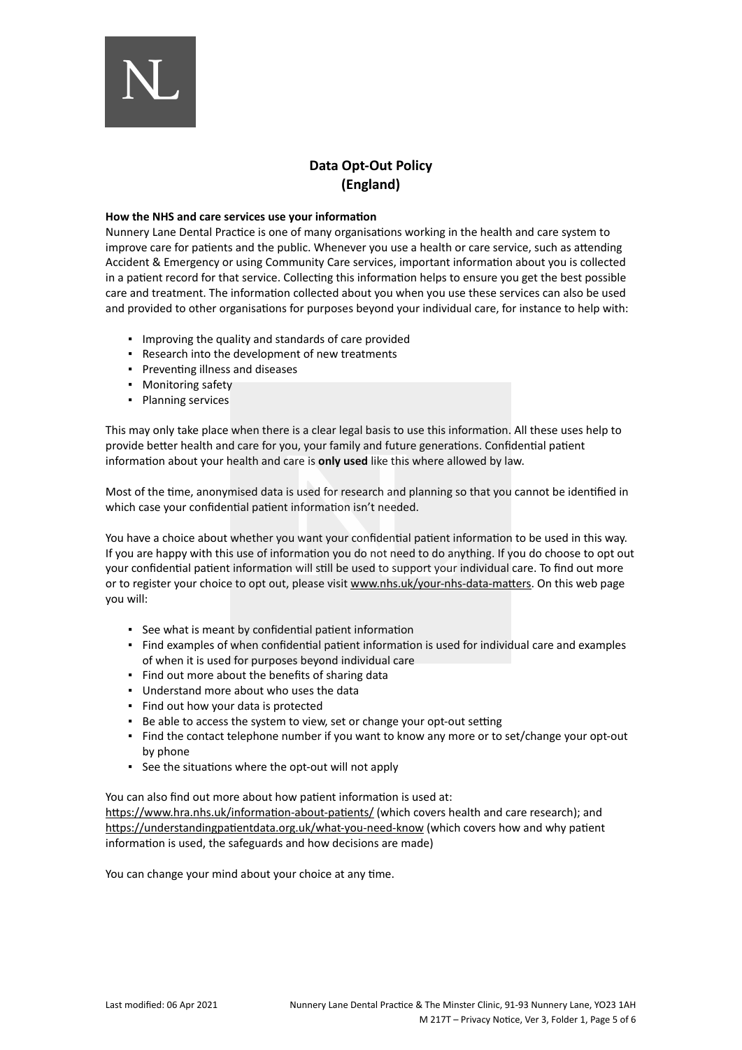

## **Data Opt-Out Policy (England)**

#### **How the NHS and care services use your information**

Nunnery Lane Dental Practice is one of many organisations working in the health and care system to improve care for patients and the public. Whenever you use a health or care service, such as attending Accident & Emergency or using Community Care services, important information about you is collected in a patient record for that service. Collecting this information helps to ensure you get the best possible care and treatment. The information collected about you when you use these services can also be used and provided to other organisations for purposes beyond your individual care, for instance to help with:

- Improving the quality and standards of care provided
- Research into the development of new treatments
- Preventing illness and diseases
- Monitoring safety
- Planning services

This may only take place when there is a clear legal basis to use this information. All these uses help to provide better health and care for you, your family and future generations. Confidential patient information about your health and care is **only used** like this where allowed by law.

Most of the time, anonymised data is used for research and planning so that you cannot be identified in which case your confidential patient information isn't needed.

You have a choice about whether you want your confidential patient information to be used in this way. If you are happy with this use of information you do not need to do anything. If you do choose to opt out your confidential patient information will still be used to support your individual care. To find out more or to register your choice to opt out, please visit [www.nhs.uk/your-nhs-data-matters](http://www.nhs.uk/your-nhs-data-matters). On this web page you will:

- See what is meant by confidential patient information
- Find examples of when confidential patient information is used for individual care and examples of when it is used for purposes beyond individual care
- Find out more about the benefits of sharing data
- Understand more about who uses the data
- Find out how your data is protected
- Be able to access the system to view, set or change your opt-out setting
- Find the contact telephone number if you want to know any more or to set/change your opt-out by phone
- See the situations where the opt-out will not apply

You can also find out more about how patient information is used at: [https://www.hra.nhs.uk/information-about-patients/](https://www.hra.nhs.uk/information-about-patients/%20) (which covers health and care research); and

<https://understandingpatientdata.org.uk/what-you-need-know> (which covers how and why patient information is used, the safeguards and how decisions are made)

You can change your mind about your choice at any time.